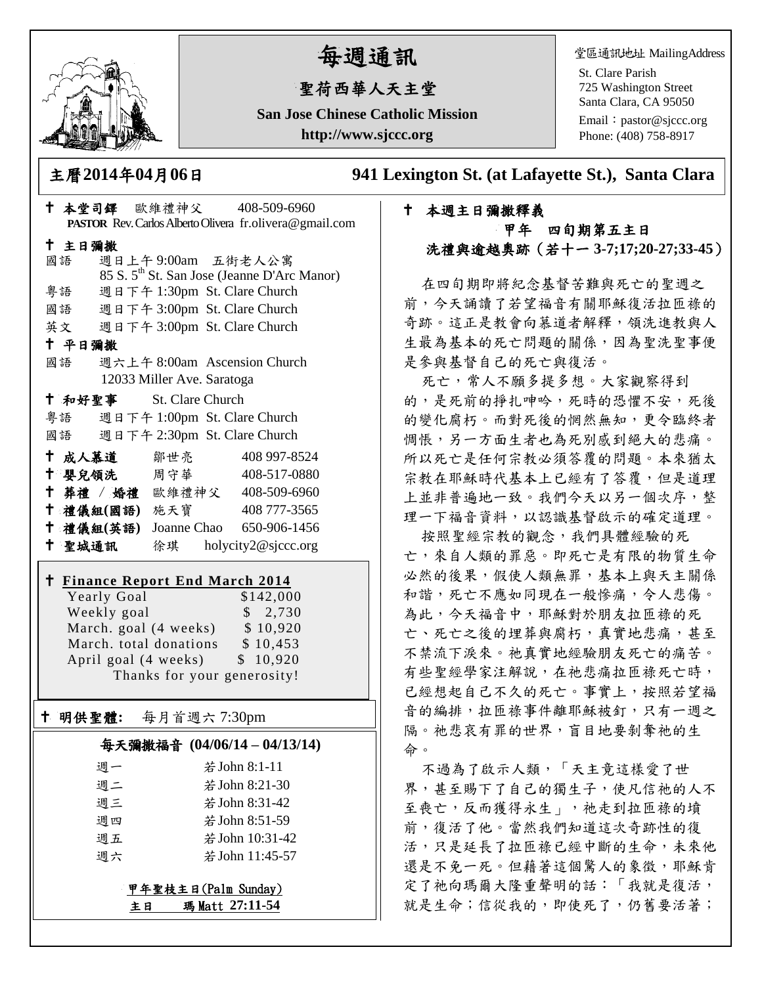

# 每週通訊

# 聖荷西華人天主堂

**San Jose Chinese Catholic Mission http://www.sjccc.org**

堂區通訊地址 MailingAddress

St. Clare Parish 725 Washington Street Santa Clara, CA 95050

Email: [pastor@sjccc.org](mailto:pastor@sjccc.org) Phone: (408) 758-8917

主曆**2014**年**04**月**06**日 **941 Lexington St. (at Lafayette St.), Santa Clara** 

# 本週主日彌撒釋義 甲年 四旬期第五主日 洗禮與逾越奧跡(若十一 **3-7;17;20-27;33-45**)

在四旬期即將紀念基督苦難與死亡的聖週之 前,今天誦讀了若望福音有關耶穌復活拉匝祿的 奇跡。這正是教會向慕道者解釋,領洗進教與人 生最為基本的死亡問題的關係,因為聖洗聖事便 是參與基督自己的死亡與復活。

死亡,常人不願多提多想。大家觀察得到 的,是死前的掙扎呻吟,死時的恐懼不安,死後 的變化腐朽。而對死後的惘然無知,更令臨終者 惆悵,另一方面生者也為死別感到絕大的悲痛。 所以死亡是任何宗教必須答覆的問題。本來猶太 宗教在耶穌時代基本上已經有了答覆,但是道理 上並非普遍地一致。我們今天以另一個次序,整 理一下福音資料,以認識基督啟示的確定道理。

按照聖經宗教的觀念,我們具體經驗的死 亡,來自人類的罪惡。即死亡是有限的物質生命 必然的後果,假使人類無罪,基本上與天主關係 和諧,死亡不應如同現在一般慘痛,令人悲傷。 為此,今天福音中,耶穌對於朋友拉匝祿的死 亡、死亡之後的埋葬與腐朽,真實地悲痛,甚至 不禁流下淚來。祂真實地經驗朋友死亡的痛苦。 有些聖經學家注解說,在祂悲痛拉匝祿死亡時, 已經想起自己不久的死亡。事實上,按照若望福 音的編排,拉匝祿事件離耶穌被釘,只有一週之 隔。祂悲哀有罪的世界,盲目地要剝奪祂的生 命。

不過為了啟示人類,「天主竟這樣愛了世 界,甚至賜下了自己的獨生子,使凡信祂的人不 至喪亡,反而獲得永生」,祂走到拉匝祿的墳 前,復活了他。當然我們知道這次奇跡性的復 活,只是延長了拉匝祿已經中斷的生命,未來他 還是不免一死。但藉著這個驚人的象徵,耶穌肯 定了祂向瑪爾大隆重聲明的話:「我就是復活, 就是生命;信從我的,即使死了,仍舊要活著;

|                                    |                            | † 本堂司鐸 歐維禮神父 408-509-6960                               |  |  |
|------------------------------------|----------------------------|---------------------------------------------------------|--|--|
|                                    |                            | PASTOR Rev. Carlos Alberto Olivera fr.olivera@gmail.com |  |  |
| 十 主日彌撒                             |                            |                                                         |  |  |
| 國語                                 |                            | 週日上午9:00am 五街老人公寓                                       |  |  |
|                                    |                            | 85 S. 5 <sup>th</sup> St. San Jose (Jeanne D'Arc Manor) |  |  |
| 粤語                                 |                            | 週日下午 1:30pm St. Clare Church                            |  |  |
|                                    |                            | 國語 週日下午 3:00pm St. Clare Church                         |  |  |
|                                    |                            | 英文 週日下午 3:00pm St. Clare Church                         |  |  |
| 十 平日彌撒                             |                            |                                                         |  |  |
| 國語                                 |                            | 週六上午 8:00am Ascension Church                            |  |  |
|                                    | 12033 Miller Ave. Saratoga |                                                         |  |  |
| <sup>†</sup> 和好聖事 St. Clare Church |                            |                                                         |  |  |
|                                    |                            | 粤語 週日下午 1:00pm St. Clare Church                         |  |  |
| 國語                                 |                            | 週日下午 2:30pm St. Clare Church                            |  |  |
| ← 成人慕道   鄒世亮                       |                            | 408 997-8524                                            |  |  |
|                                    |                            | <sup>†</sup> 嬰兒領洗 周守華 408-517-0880                      |  |  |
|                                    |                            | † 葬禮 / 婚禮 歐維禮神父 408-509-6960                            |  |  |
| † 禮儀組(國語) 施天寶                      |                            | 408 777-3565                                            |  |  |
|                                    |                            | † 禮儀組(英語) Joanne Chao 650-906-1456                      |  |  |
| 十 聖城通訊                             |                            | 徐琪 holycity2@sjccc.org                                  |  |  |
|                                    |                            | <b>t Finance Report End March 2014</b>                  |  |  |
| Yearly Goal                        |                            | \$142,000                                               |  |  |
| Weekly goal                        |                            | \$2,730                                                 |  |  |
|                                    |                            | March. goal (4 weeks) \$10,920                          |  |  |
|                                    |                            | March. total donations \$10,453                         |  |  |
| April goal (4 weeks) \$ 10,920     |                            |                                                         |  |  |
| Thanks for your generosity!        |                            |                                                         |  |  |

#### 明供聖體**:** 每月首週六 7:30pm

Ξ

 $\overline{\phantom{a}}$ 

#### 每天彌撒福音 **(04/06/14 – 04/13/14)**

| 週一 | 若 John 8:1-11   |
|----|-----------------|
| 週二 | 若 John 8:21-30  |
| 週三 | 若 John 8:31-42  |
| 週四 | 若 John 8:51-59  |
| 週五 | 若 John 10:31-42 |
| 週六 | 若 John 11:45-57 |
|    |                 |

#### 甲年聖枝主日(Palm Sunday) 主日 瑪 Matt **27:11-54**